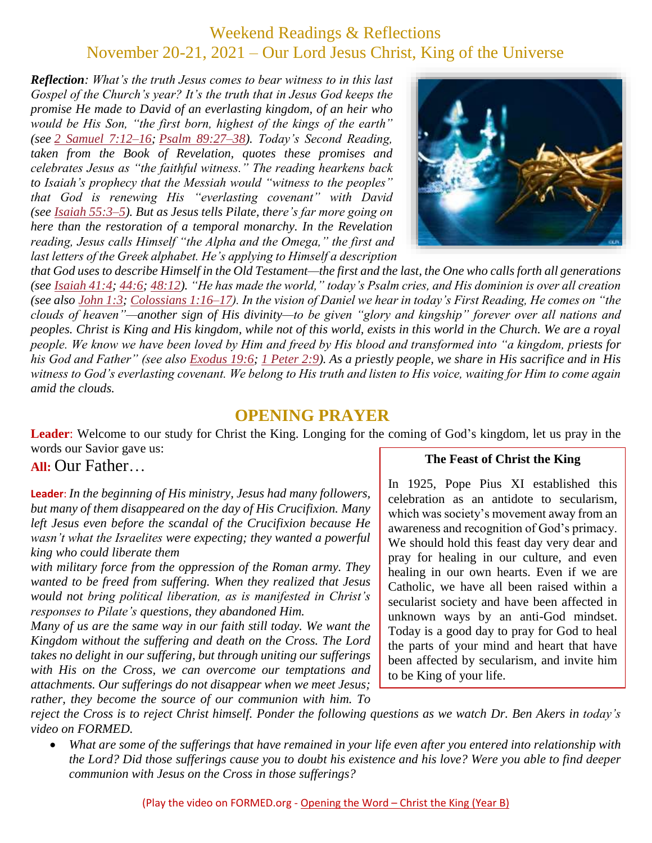## Weekend Readings & Reflections November 20-21, 2021 – Our Lord Jesus Christ, King of the Universe

*Reflection: What's the truth Jesus comes to bear witness to in this last Gospel of the Church's year? It's the truth that in Jesus God keeps the promise He made to David of an everlasting kingdom, of an heir who would be His Son, "the first born, highest of the kings of the earth" (see 2 Samuel [7:12–16;](https://biblia.com/bible/rsvce/2%20Sam%207.12%E2%80%9316) Psalm [89:27–38\)](https://biblia.com/bible/rsvce/Ps%2089.27%E2%80%9338). Today's Second Reading, taken from the Book of Revelation, quotes these promises and celebrates Jesus as "the faithful witness." The reading hearkens back to Isaiah's prophecy that the Messiah would "witness to the peoples" that God is renewing His "everlasting covenant" with David (see Isaiah [55:3–5\)](https://biblia.com/bible/rsvce/Isa%2055.3%E2%80%935). But as Jesus tells Pilate, there's far more going on here than the restoration of a temporal monarchy. In the Revelation reading, Jesus calls Himself "the Alpha and the Omega," the first and*  last letters of the Greek alphabet. He's applying to Himself a description



*that God uses to describe Himself in the Old Testament—the first and the last, the One who calls forth all generations (see [Isaiah](https://biblia.com/bible/rsvce/Isa%2041.4) 41:4; [44:6;](https://biblia.com/bible/rsvce/Isaiah%2044.6) [48:12\)](https://biblia.com/bible/rsvce/Isaiah%2048.12). "He has made the world," today's Psalm cries, and His dominion is over all creation (see also [John](https://biblia.com/bible/rsvce/John%201.3) 1:3; [Colossians](https://biblia.com/bible/rsvce/Col%201.16%E2%80%9317) 1:16–17). In the vision of Daniel we hear in today's First Reading, He comes on "the clouds of heaven"—another sign of His divinity—to be given "glory and kingship" forever over all nations and peoples. Christ is King and His kingdom, while not of this world, exists in this world in the Church. We are a royal people. We know we have been loved by Him and freed by His blood and transformed into "a kingdom, priests for his God and Father" (see also [Exodus](https://biblia.com/bible/rsvce/Exod%2019.6) 19:6; 1 [Peter](https://biblia.com/bible/rsvce/1%20Pet%202.9) 2:9). As a priestly people, we share in His sacrifice and in His witness to God's everlasting covenant. We belong to His truth and listen to His voice, waiting for Him to come again amid the clouds.*

### **OPENING PRAYER**

**Leader**: Welcome to our study for Christ the King. Longing for the coming of God's kingdom, let us pray in the words our Savior gave us:

#### **All:** Our Father…

**Leader**: *In the beginning of His ministry, Jesus had many followers, but many of them disappeared on the day of His Crucifixion. Many left Jesus even before the scandal of the Crucifixion because He wasn't what the Israelites were expecting; they wanted a powerful king who could liberate them*

*with military force from the oppression of the Roman army. They wanted to be freed from suffering. When they realized that Jesus would not bring political liberation, as is manifested in Christ's responses to Pilate's questions, they abandoned Him.*

*Many of us are the same way in our faith still today. We want the Kingdom without the suffering and death on the Cross. The Lord takes no delight in our suffering, but through uniting our sufferings with His on the Cross, we can overcome our temptations and attachments. Our sufferings do not disappear when we meet Jesus; rather, they become the source of our communion with him. To* 

#### **The Feast of Christ the King**

In 1925, Pope Pius XI established this celebration as an antidote to secularism, which was society's movement away from an awareness and recognition of God's primacy. We should hold this feast day very dear and pray for healing in our culture, and even healing in our own hearts. Even if we are Catholic, we have all been raised within a secularist society and have been affected in unknown ways by an anti-God mindset. Today is a good day to pray for God to heal the parts of your mind and heart that have been affected by secularism, and invite him to be King of your life.

*reject the Cross is to reject Christ himself. Ponder the following questions as we watch Dr. Ben Akers in today's video on FORMED.*

 *What are some of the sufferings that have remained in your life even after you entered into relationship with the Lord? Did those sufferings cause you to doubt his existence and his love? Were you able to find deeper communion with Jesus on the Cross in those sufferings?*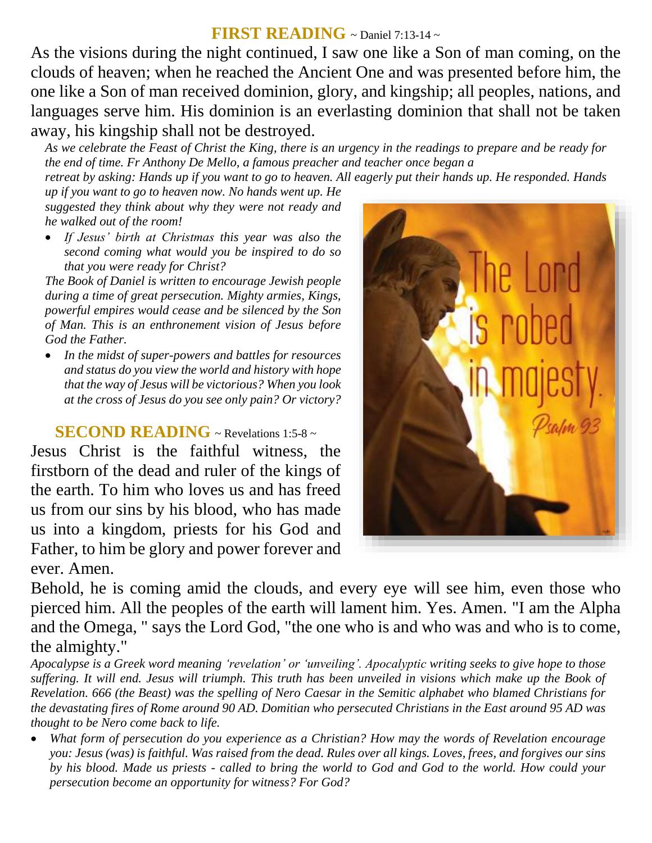## **FIRST READING** ~ Daniel 7:13-14 ~

As the visions during the night continued, I saw one like a Son of man coming, on the clouds of heaven; when he reached the Ancient One and was presented before him, the one like a Son of man received dominion, glory, and kingship; all peoples, nations, and languages serve him. His dominion is an everlasting dominion that shall not be taken away, his kingship shall not be destroyed.

*As we celebrate the Feast of Christ the King, there is an urgency in the readings to prepare and be ready for the end of time. Fr Anthony De Mello, a famous preacher and teacher once began a*

*retreat by asking: Hands up if you want to go to heaven. All eagerly put their hands up. He responded. Hands* 

*up if you want to go to heaven now. No hands went up. He suggested they think about why they were not ready and he walked out of the room!* 

 *If Jesus' birth at Christmas this year was also the second coming what would you be inspired to do so that you were ready for Christ?*

*The Book of Daniel is written to encourage Jewish people during a time of great persecution. Mighty armies, Kings, powerful empires would cease and be silenced by the Son of Man. This is an enthronement vision of Jesus before God the Father.* 

 *In the midst of super-powers and battles for resources and status do you view the world and history with hope that the way of Jesus will be victorious? When you look at the cross of Jesus do you see only pain? Or victory?*

## **SECOND READING** ~ Revelations 1:5-8 ~

Jesus Christ is the faithful witness, the firstborn of the dead and ruler of the kings of the earth. To him who loves us and has freed us from our sins by his blood, who has made us into a kingdom, priests for his God and Father, to him be glory and power forever and ever. Amen.



Behold, he is coming amid the clouds, and every eye will see him, even those who pierced him. All the peoples of the earth will lament him. Yes. Amen. "I am the Alpha and the Omega, " says the Lord God, "the one who is and who was and who is to come, the almighty."

*Apocalypse is a Greek word meaning 'revelation' or 'unveiling'. Apocalyptic writing seeks to give hope to those suffering. It will end. Jesus will triumph. This truth has been unveiled in visions which make up the Book of Revelation. 666 (the Beast) was the spelling of Nero Caesar in the Semitic alphabet who blamed Christians for the devastating fires of Rome around 90 AD. Domitian who persecuted Christians in the East around 95 AD was thought to be Nero come back to life.* 

 *What form of persecution do you experience as a Christian? How may the words of Revelation encourage you: Jesus (was) is faithful. Was raised from the dead. Rules over all kings. Loves, frees, and forgives our sins by his blood. Made us priests - called to bring the world to God and God to the world. How could your persecution become an opportunity for witness? For God?*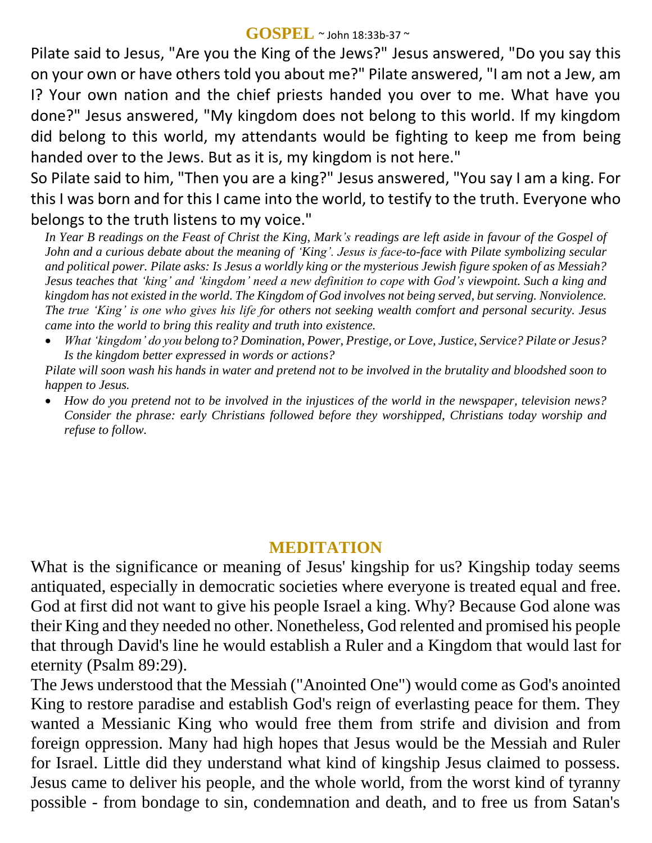#### **GOSPEL** ~ John 18:33b-37 <sup>~</sup>

Pilate said to Jesus, "Are you the King of the Jews?" Jesus answered, "Do you say this on your own or have others told you about me?" Pilate answered, "I am not a Jew, am I? Your own nation and the chief priests handed you over to me. What have you done?" Jesus answered, "My kingdom does not belong to this world. If my kingdom did belong to this world, my attendants would be fighting to keep me from being handed over to the Jews. But as it is, my kingdom is not here."

So Pilate said to him, "Then you are a king?" Jesus answered, "You say I am a king. For this I was born and for this I came into the world, to testify to the truth. Everyone who belongs to the truth listens to my voice."

*In Year B readings on the Feast of Christ the King, Mark's readings are left aside in favour of the Gospel of John and a curious debate about the meaning of ʻKing'. Jesus is face-to-face with Pilate symbolizing secular and political power. Pilate asks: Is Jesus a worldly king or the mysterious Jewish figure spoken of as Messiah? Jesus teaches that ʻking' and ʻkingdom' need a new definition to cope with God's viewpoint. Such a king and kingdom has not existed in the world. The Kingdom of God involves not being served, but serving. Nonviolence. The true ʻKing' is one who gives his life for others not seeking wealth comfort and personal security. Jesus came into the world to bring this reality and truth into existence.* 

 *What ʻkingdom' do you belong to? Domination, Power, Prestige, or Love, Justice, Service? Pilate or Jesus? Is the kingdom better expressed in words or actions?*

*Pilate will soon wash his hands in water and pretend not to be involved in the brutality and bloodshed soon to happen to Jesus.* 

 *How do you pretend not to be involved in the injustices of the world in the newspaper, television news? Consider the phrase: early Christians followed before they worshipped, Christians today worship and refuse to follow.*

# **MEDITATION**

What is the significance or meaning of Jesus' kingship for us? Kingship today seems antiquated, especially in democratic societies where everyone is treated equal and free. God at first did not want to give his people Israel a king. Why? Because God alone was their King and they needed no other. Nonetheless, God relented and promised his people that through David's line he would establish a Ruler and a Kingdom that would last for eternity (Psalm 89:29).

The Jews understood that the Messiah ("Anointed One") would come as God's anointed King to restore paradise and establish God's reign of everlasting peace for them. They wanted a Messianic King who would free them from strife and division and from foreign oppression. Many had high hopes that Jesus would be the Messiah and Ruler for Israel. Little did they understand what kind of kingship Jesus claimed to possess. Jesus came to deliver his people, and the whole world, from the worst kind of tyranny possible - from bondage to sin, condemnation and death, and to free us from Satan's